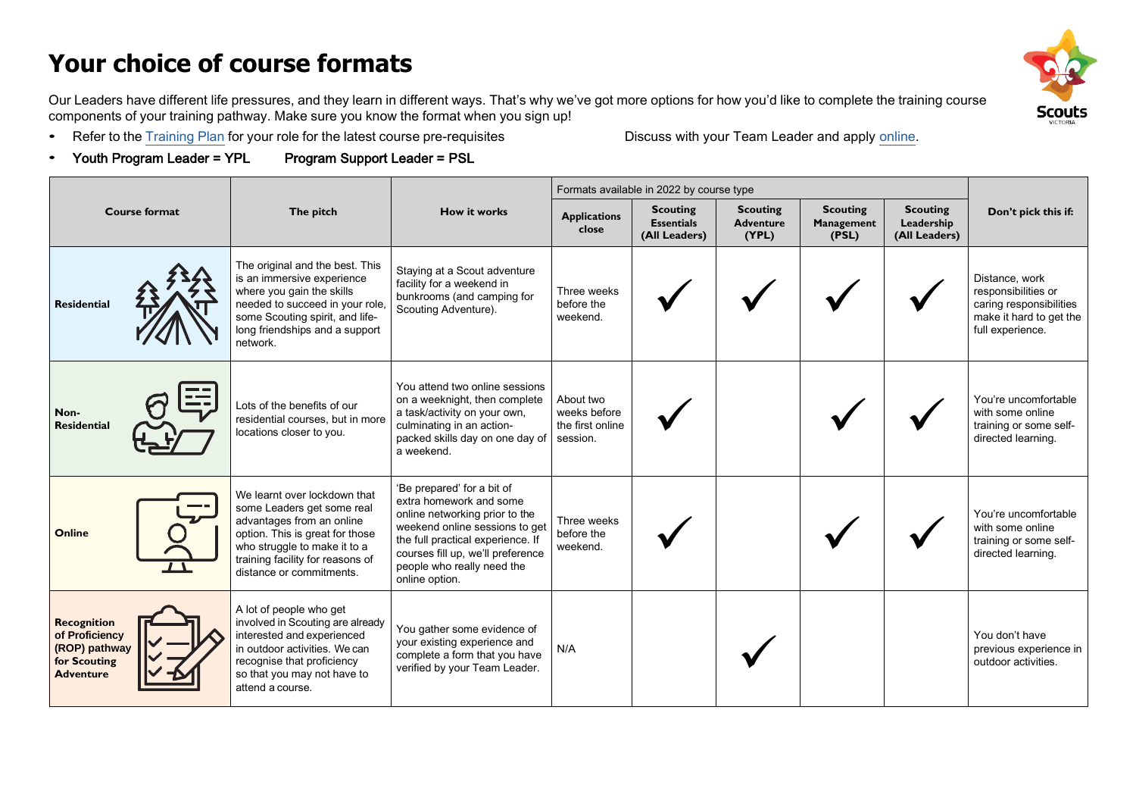# **Your choice of course formats**

**Scouts** 

Our Leaders have different life pressures, and they learn in different ways. That's why we've got more options for how you'd like to complete the training course components of your training pathway. Make sure you know the format when you sign up!

• Refer to the [Training](https://scoutsvictoria.com.au/age-sections-adults/training/training-plans-and-your-training-pathway/) Plan for your role for the latest course pre-requisites Discuss with your Team Leader and apply [online.](https://scoutsvictoria.com.au/age-sections-adults/training/)

• Youth Program Leader = YPL Program Support Leader = PSL

| <b>Course format</b>                                                                      |  |                                                                                                                                                                                                                            |                                                                                                                                                                                                                                                     | Formats available in 2022 by course type                  |                                                       |                                              |                                        |                                                |                                                                                                                 |
|-------------------------------------------------------------------------------------------|--|----------------------------------------------------------------------------------------------------------------------------------------------------------------------------------------------------------------------------|-----------------------------------------------------------------------------------------------------------------------------------------------------------------------------------------------------------------------------------------------------|-----------------------------------------------------------|-------------------------------------------------------|----------------------------------------------|----------------------------------------|------------------------------------------------|-----------------------------------------------------------------------------------------------------------------|
|                                                                                           |  | The pitch                                                                                                                                                                                                                  | <b>How it works</b>                                                                                                                                                                                                                                 | <b>Applications</b><br>close                              | <b>Scouting</b><br><b>Essentials</b><br>(All Leaders) | <b>Scouting</b><br><b>Adventure</b><br>(YPL) | <b>Scouting</b><br>Management<br>(PSL) | <b>Scouting</b><br>Leadership<br>(All Leaders) | Don't pick this if:                                                                                             |
| <b>Residential</b>                                                                        |  | The original and the best. This<br>is an immersive experience<br>where you gain the skills<br>needed to succeed in your role.<br>some Scouting spirit, and life-<br>long friendships and a support<br>network.             | Staying at a Scout adventure<br>facility for a weekend in<br>bunkrooms (and camping for<br>Scouting Adventure).                                                                                                                                     | Three weeks<br>before the<br>weekend.                     |                                                       |                                              |                                        |                                                | Distance, work<br>responsibilities or<br>caring responsibilities<br>make it hard to get the<br>full experience. |
| Non-<br><b>Residential</b>                                                                |  | Lots of the benefits of our<br>residential courses, but in more<br>locations closer to you.                                                                                                                                | You attend two online sessions<br>on a weeknight, then complete<br>a task/activity on your own,<br>culminating in an action-<br>packed skills day on one day of<br>a weekend.                                                                       | About two<br>weeks before<br>the first online<br>session. |                                                       |                                              |                                        |                                                | You're uncomfortable<br>with some online<br>training or some self-<br>directed learning.                        |
| <b>Online</b>                                                                             |  | We learnt over lockdown that<br>some Leaders get some real<br>advantages from an online<br>option. This is great for those<br>who struggle to make it to a<br>training facility for reasons of<br>distance or commitments. | 'Be prepared' for a bit of<br>extra homework and some<br>online networking prior to the<br>weekend online sessions to get<br>the full practical experience. If<br>courses fill up, we'll preference<br>people who really need the<br>online option. | Three weeks<br>before the<br>weekend.                     |                                                       |                                              |                                        |                                                | You're uncomfortable<br>with some online<br>training or some self-<br>directed learning.                        |
| <b>Recognition</b><br>of Proficiency<br>(ROP) pathway<br>for Scouting<br><b>Adventure</b> |  | A lot of people who get<br>involved in Scouting are already<br>interested and experienced<br>in outdoor activities. We can<br>recognise that proficiency<br>so that you may not have to<br>attend a course.                | You gather some evidence of<br>your existing experience and<br>complete a form that you have<br>verified by your Team Leader.                                                                                                                       | N/A                                                       |                                                       |                                              |                                        |                                                | You don't have<br>previous experience in<br>outdoor activities.                                                 |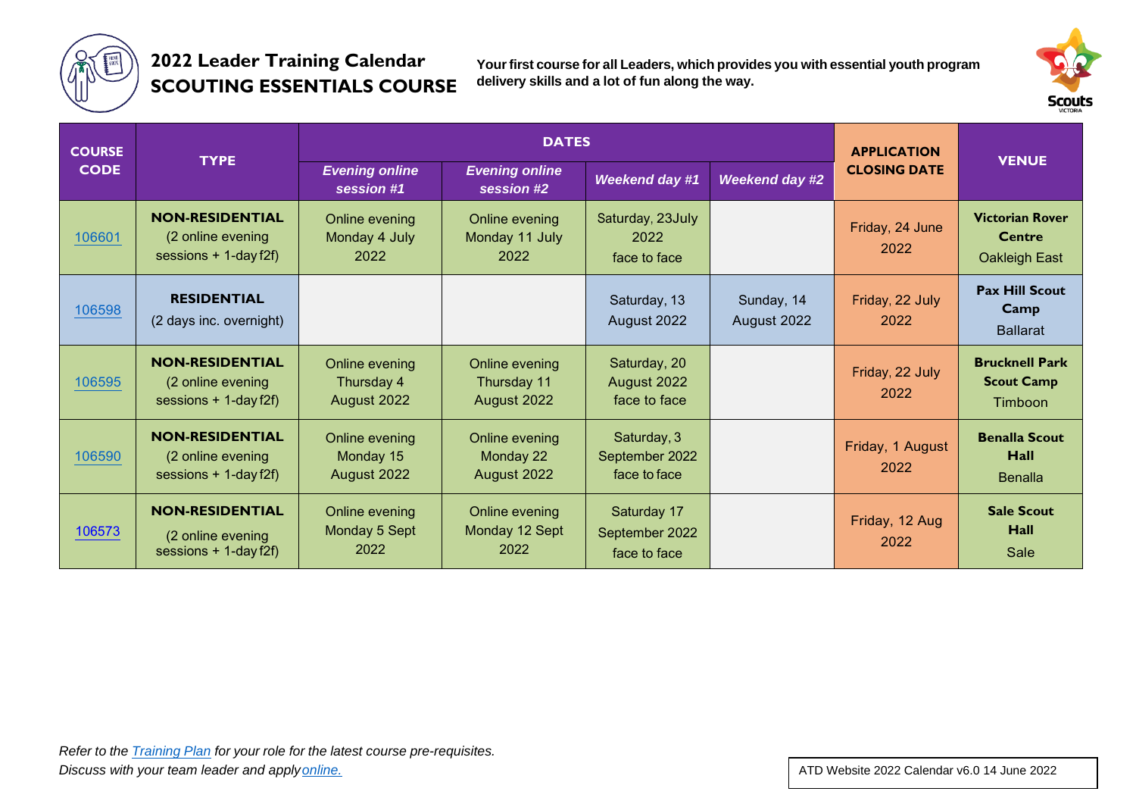

### **2022 Leader Training Calendar SCOUTING ESSENTIALS COURSE**

**Yourfirst course for all Leaders, which provides you with essential youth program delivery skills and a lot of fun along the way.**



| <b>COURSE</b> |                                                                        | <b>DATES</b>                                |                                              |                                               |                           | <b>APPLICATION</b>       |                                                       |
|---------------|------------------------------------------------------------------------|---------------------------------------------|----------------------------------------------|-----------------------------------------------|---------------------------|--------------------------|-------------------------------------------------------|
| <b>CODE</b>   | <b>TYPE</b>                                                            | <b>Evening online</b><br>session #1         | <b>Evening online</b><br>session #2          | <b>Weekend day #1</b>                         | <b>Weekend day #2</b>     |                          | <b>VENUE</b>                                          |
| 106601        | <b>NON-RESIDENTIAL</b><br>(2 online evening<br>sessions $+1$ -day f2f) | Online evening<br>Monday 4 July<br>2022     | Online evening<br>Monday 11 July<br>2022     | Saturday, 23July<br>2022<br>face to face      |                           | Friday, 24 June<br>2022  | <b>Victorian Rover</b><br>Centre<br>Oakleigh East     |
| 106598        | <b>RESIDENTIAL</b><br>(2 days inc. overnight)                          |                                             |                                              | Saturday, 13<br>August 2022                   | Sunday, 14<br>August 2022 | Friday, 22 July<br>2022  | <b>Pax Hill Scout</b><br>Camp<br><b>Ballarat</b>      |
| 106595        | <b>NON-RESIDENTIAL</b><br>(2 online evening<br>sessions $+1$ -day f2f) | Online evening<br>Thursday 4<br>August 2022 | Online evening<br>Thursday 11<br>August 2022 | Saturday, 20<br>August 2022<br>face to face   |                           | Friday, 22 July<br>2022  | <b>Brucknell Park</b><br><b>Scout Camp</b><br>Timboon |
| 106590        | <b>NON-RESIDENTIAL</b><br>(2 online evening<br>sessions $+1$ -day f2f) | Online evening<br>Monday 15<br>August 2022  | Online evening<br>Monday 22<br>August 2022   | Saturday, 3<br>September 2022<br>face to face |                           | Friday, 1 August<br>2022 | <b>Benalla Scout</b><br>Hall<br><b>Benalla</b>        |
| 106573        | <b>NON-RESIDENTIAL</b><br>(2 online evening<br>sessions $+1$ -day f2f) | Online evening<br>Monday 5 Sept<br>2022     | Online evening<br>Monday 12 Sept<br>2022     | Saturday 17<br>September 2022<br>face to face |                           | Friday, 12 Aug<br>2022   | <b>Sale Scout</b><br>Hall<br>Sale                     |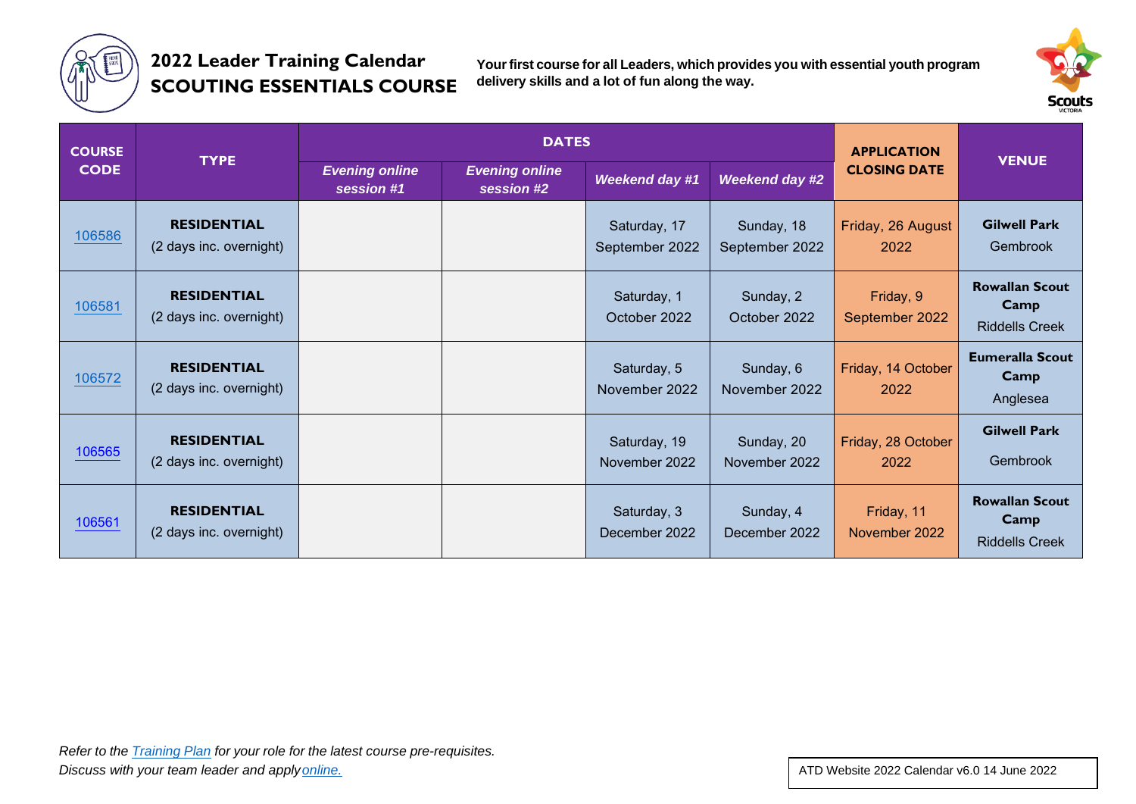

## **2022 Leader Training Calendar SCOUTING ESSENTIALS COURSE**

**Yourfirst course for all Leaders, which provides you with essential youth program delivery skills and a lot of fun along the way.**



| <b>COURSE</b> |                                               |                                     | <b>DATES</b>                        | <b>APPLICATION</b>             |                              |                             |                                                        |
|---------------|-----------------------------------------------|-------------------------------------|-------------------------------------|--------------------------------|------------------------------|-----------------------------|--------------------------------------------------------|
| <b>CODE</b>   | <b>TYPE</b>                                   | <b>Evening online</b><br>session #1 | <b>Evening online</b><br>session #2 | <b>Weekend day #1</b>          | <b>Weekend day #2</b>        | <b>CLOSING DATE</b>         | <b>VENUE</b>                                           |
| 106586        | <b>RESIDENTIAL</b><br>(2 days inc. overnight) |                                     |                                     | Saturday, 17<br>September 2022 | Sunday, 18<br>September 2022 | Friday, 26 August<br>2022   | <b>Gilwell Park</b><br>Gembrook                        |
| 106581        | <b>RESIDENTIAL</b><br>(2 days inc. overnight) |                                     |                                     | Saturday, 1<br>October 2022    | Sunday, 2<br>October 2022    | Friday, 9<br>September 2022 | <b>Rowallan Scout</b><br>Camp<br><b>Riddells Creek</b> |
| 106572        | <b>RESIDENTIAL</b><br>(2 days inc. overnight) |                                     |                                     | Saturday, 5<br>November 2022   | Sunday, 6<br>November 2022   | Friday, 14 October<br>2022  | <b>Eumeralla Scout</b><br>Camp<br>Anglesea             |
| 106565        | <b>RESIDENTIAL</b><br>(2 days inc. overnight) |                                     |                                     | Saturday, 19<br>November 2022  | Sunday, 20<br>November 2022  | Friday, 28 October<br>2022  | <b>Gilwell Park</b><br>Gembrook                        |
| 106561        | <b>RESIDENTIAL</b><br>(2 days inc. overnight) |                                     |                                     | Saturday, 3<br>December 2022   | Sunday, 4<br>December 2022   | Friday, 11<br>November 2022 | <b>Rowallan Scout</b><br>Camp<br><b>Riddells Creek</b> |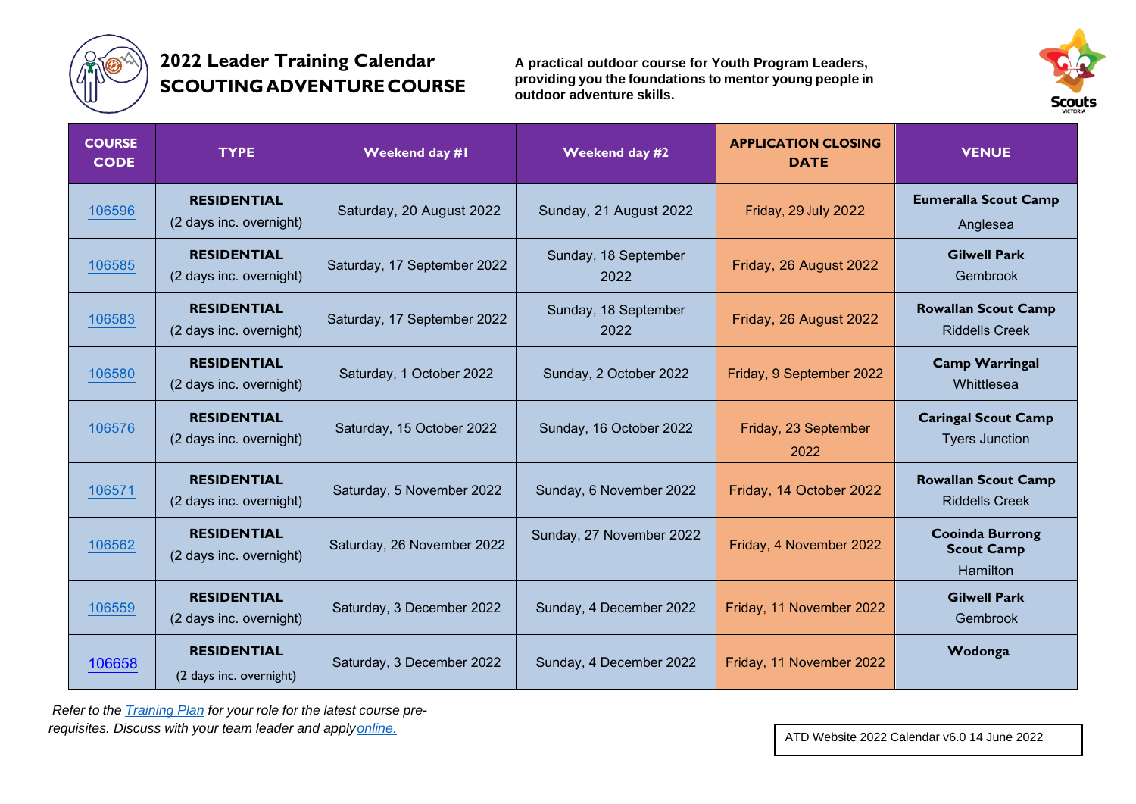

## **2022 Leader Training Calendar SCOUTINGADVENTURECOURSE**

**A practical outdoor course for Youth Program Leaders, providing you the foundations to mentor young people in outdoor adventure skills.**



| <b>COURSE</b><br><b>CODE</b> | <b>TYPE</b>                                   | Weekend day #1              | Weekend day #2               | <b>APPLICATION CLOSING</b><br><b>DATE</b> | <b>VENUE</b>                                            |
|------------------------------|-----------------------------------------------|-----------------------------|------------------------------|-------------------------------------------|---------------------------------------------------------|
| 106596                       | <b>RESIDENTIAL</b><br>(2 days inc. overnight) | Saturday, 20 August 2022    | Sunday, 21 August 2022       | Friday, 29 July 2022                      | <b>Eumeralla Scout Camp</b><br>Anglesea                 |
| 106585                       | <b>RESIDENTIAL</b><br>(2 days inc. overnight) | Saturday, 17 September 2022 | Sunday, 18 September<br>2022 | Friday, 26 August 2022                    | <b>Gilwell Park</b><br>Gembrook                         |
| 106583                       | <b>RESIDENTIAL</b><br>(2 days inc. overnight) | Saturday, 17 September 2022 | Sunday, 18 September<br>2022 | Friday, 26 August 2022                    | <b>Rowallan Scout Camp</b><br><b>Riddells Creek</b>     |
| 106580                       | <b>RESIDENTIAL</b><br>(2 days inc. overnight) | Saturday, 1 October 2022    | Sunday, 2 October 2022       | Friday, 9 September 2022                  | <b>Camp Warringal</b><br>Whittlesea                     |
| 106576                       | <b>RESIDENTIAL</b><br>(2 days inc. overnight) | Saturday, 15 October 2022   | Sunday, 16 October 2022      | Friday, 23 September<br>2022              | <b>Caringal Scout Camp</b><br><b>Tyers Junction</b>     |
| 106571                       | <b>RESIDENTIAL</b><br>(2 days inc. overnight) | Saturday, 5 November 2022   | Sunday, 6 November 2022      | Friday, 14 October 2022                   | <b>Rowallan Scout Camp</b><br><b>Riddells Creek</b>     |
| 106562                       | <b>RESIDENTIAL</b><br>(2 days inc. overnight) | Saturday, 26 November 2022  | Sunday, 27 November 2022     | Friday, 4 November 2022                   | <b>Cooinda Burrong</b><br><b>Scout Camp</b><br>Hamilton |
| 106559                       | <b>RESIDENTIAL</b><br>(2 days inc. overnight) | Saturday, 3 December 2022   | Sunday, 4 December 2022      | Friday, 11 November 2022                  | <b>Gilwell Park</b><br>Gembrook                         |
| 106658                       | <b>RESIDENTIAL</b><br>(2 days inc. overnight) | Saturday, 3 December 2022   | Sunday, 4 December 2022      | Friday, 11 November 2022                  | Wodonga                                                 |

*Refer to the [Training](https://scoutsvictoria.com.au/age-sections-adults/training/training-plans-and-your-training-pathway/) Plan for your role for the latest course prerequisites. Discuss with your team leader and appl[yonline.](https://scoutsvictoria.com.au/age-sections-adults/training/)*

ATD Website 2022 Calendar v6.0 14 June 2022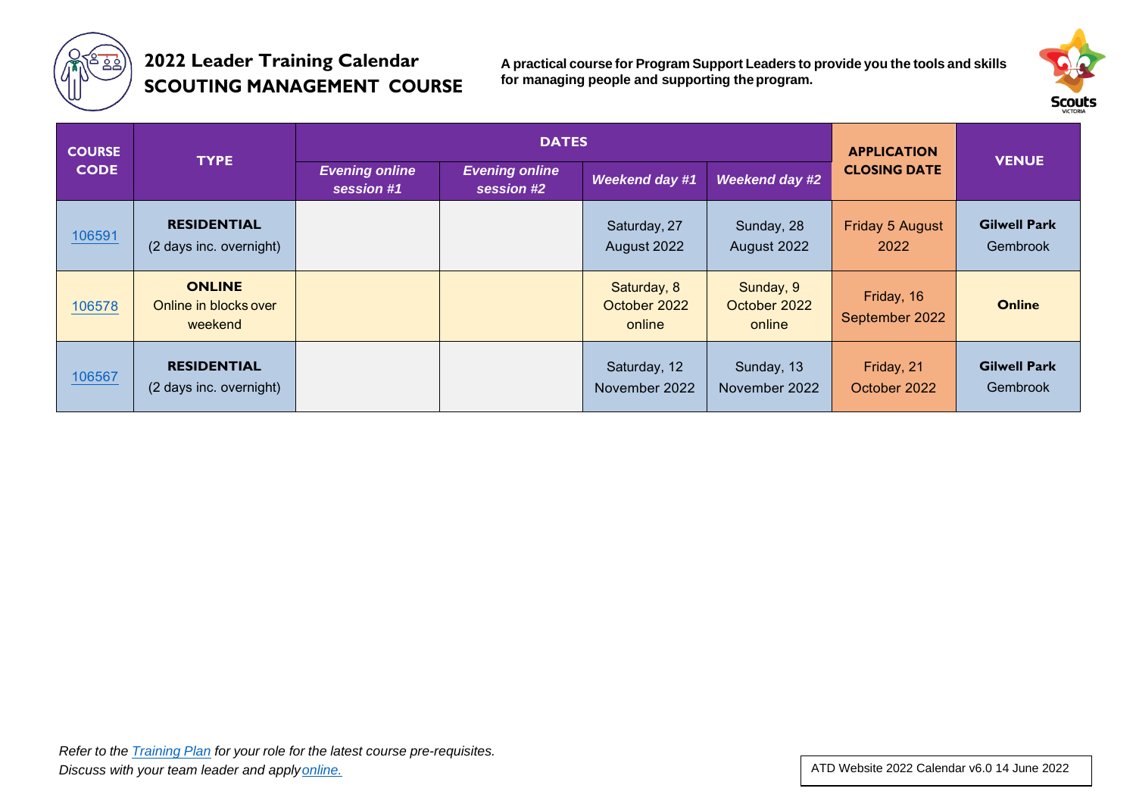

## **2022 Leader Training Calendar SCOUTING MANAGEMENT COURSE**

**A practical course for Program Support Leaders to provide you the tools and skills for managing people and supporting theprogram.**



| <b>COURSE</b><br><b>CODE</b> | <b>TYPE</b>                                       |                                     | <b>DATES</b>                        | <b>APPLICATION</b>                    |                                     |                              |                                 |
|------------------------------|---------------------------------------------------|-------------------------------------|-------------------------------------|---------------------------------------|-------------------------------------|------------------------------|---------------------------------|
|                              |                                                   | <b>Evening online</b><br>session #1 | <b>Evening online</b><br>session #2 | <b>Weekend day #1</b>                 | Weekend day #2                      | <b>CLOSING DATE</b>          | <b>VENUE</b>                    |
| 106591                       | <b>RESIDENTIAL</b><br>(2 days inc. overnight)     |                                     |                                     | Saturday, 27<br>August 2022           | Sunday, 28<br>August 2022           | Friday 5 August<br>2022      | <b>Gilwell Park</b><br>Gembrook |
| 106578                       | <b>ONLINE</b><br>Online in blocks over<br>weekend |                                     |                                     | Saturday, 8<br>October 2022<br>online | Sunday, 9<br>October 2022<br>online | Friday, 16<br>September 2022 | <b>Online</b>                   |
| 106567                       | <b>RESIDENTIAL</b><br>(2 days inc. overnight)     |                                     |                                     | Saturday, 12<br>November 2022         | Sunday, 13<br>November 2022         | Friday, 21<br>October 2022   | <b>Gilwell Park</b><br>Gembrook |